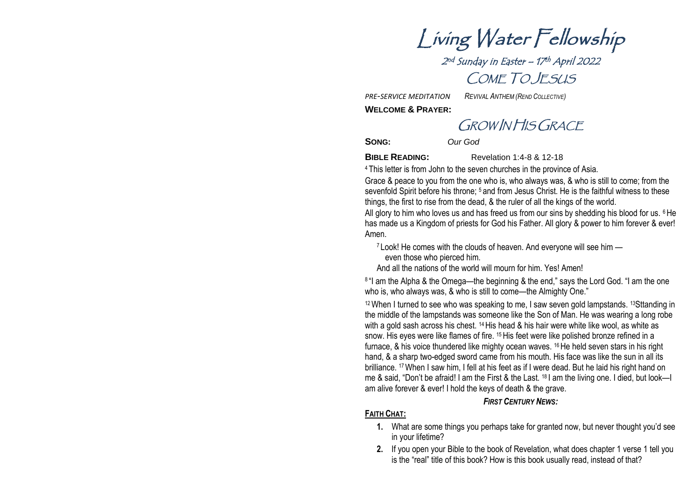Living Water Fellowship

2 nd Sunday in Easter – 17 th April 2022 COME TO JESUS

*PRE-SERVICE MEDITATION REVIVAL ANTHEM (REND COLLECTIVE)*

**WELCOME & PRAYER:**

GROW IN HIS GRACE

**SONG:** *Our God*

**BIBLE READING:** Revelation 1:4-8 & 12-18

<sup>4</sup> This letter is from John to the seven churches in the province of Asia.

Grace & peace to you from the one who is, who always was, & who is still to come; from the sevenfold Spirit before his throne; <sup>5</sup> and from Jesus Christ. He is the faithful witness to these things, the first to rise from the dead, & the ruler of all the kings of the world.

All glory to him who loves us and has freed us from our sins by shedding his blood for us.  $6$  He has made us a Kingdom of priests for God his Father. All glory & power to him forever & ever! Amen.

<sup>7</sup> Look! He comes with the clouds of heaven. And everyone will see him —

even those who pierced him.

And all the nations of the world will mourn for him. Yes! Amen!

<sup>8 "I</sup> am the Alpha & the Omega—the beginning & the end," says the Lord God. "I am the one who is, who always was, & who is still to come—the Almighty One."

<sup>12</sup> When I turned to see who was speaking to me, I saw seven gold lampstands. <sup>13</sup>Sttanding in the middle of the lampstands was someone like the Son of Man. He was wearing a long robe with a gold sash across his chest. <sup>14</sup> His head & his hair were white like wool, as white as snow. His eyes were like flames of fire. <sup>15</sup> His feet were like polished bronze refined in a furnace, & his voice thundered like mighty ocean waves. <sup>16</sup>He held seven stars in his right hand, & a sharp two-edged sword came from his mouth. His face was like the sun in all its brilliance. <sup>17</sup>When I saw him, I fell at his feet as if I were dead. But he laid his right hand on me & said, "Don't be afraid! I am the First & the Last. <sup>18</sup> I am the living one. I died, but look—I am alive forever & ever! I hold the keys of death & the grave.

#### *FIRST CENTURY NEWS:*

#### **FAITH CHAT:**

- **1.** What are some things you perhaps take for granted now, but never thought you'd see in your lifetime?
- **2.** If you open your Bible to the book of Revelation, what does chapter 1 verse 1 tell you is the "real" title of this book? How is this book usually read, instead of that?